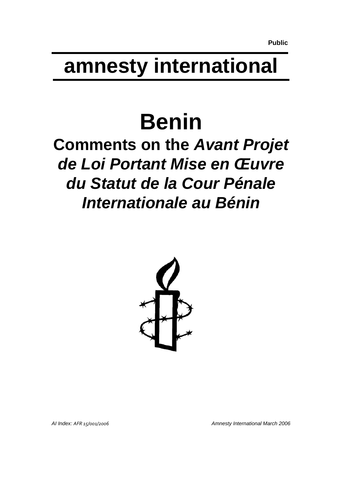# **amnesty international**

# **Benin**

## **Comments on the** *Avant Projet de Loi Portant Mise en Œuvre du Statut de la Cour Pénale Internationale au Bénin*



*AI Index: AFR 15/001/2006 Amnesty International March 2006*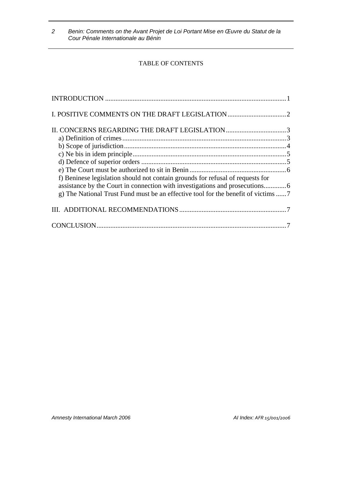#### TABLE OF CONTENTS

| f) Beninese legislation should not contain grounds for refusal of requests for |  |
|--------------------------------------------------------------------------------|--|
|                                                                                |  |
|                                                                                |  |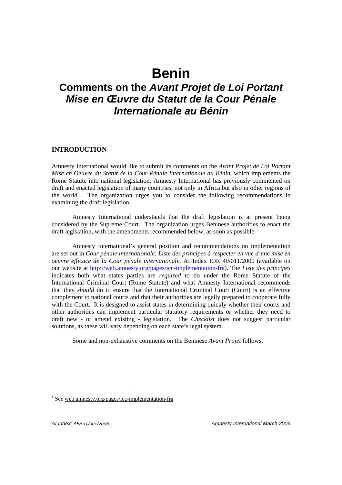### **Benin**

### **Comments on the** *Avant Projet de Loi Portant Mise en Œuvre du Statut de la Cour Pénale Internationale au Bénin*

#### **INTRODUCTION**

Amnesty International would like to submit its comments on the *Avant Projet de Loi Portant Mise en Oeuvre du Statut de la Cour Pénale Internationale au Bénin*, which implements the Rome Statute into national legislation. Amnesty International has previously commented on draft and enacted legislation of many countries, not only in Africa but also in other regions of the world.<sup>1</sup> The organization urges you to consider the following recommendations in examining the draft legislation.

Amnesty International understands that the draft legislation is at present being considered by the Supreme Court. The organization urges Beninese authorities to enact the draft legislation, with the amendments recommended below, as soon as possible.

Amnesty International's general position and recommendations on implementation are set out in *Cour pénale internationale: Liste des principes à respecter en vue d'une mise en oeuvre efficace de la Cour pénale internationale,* AI Index IOR 40/011/2000 (available on our website at http://web.amnesty.org/pages/icc-implementation-fra). The *Liste des principes* indicates both what states parties are *required* to do under the Rome Statute of the International Criminal Court (Rome Statute) and what Amnesty International recommends that they *should* do to ensure that the International Criminal Court (Court) is an effective complement to national courts and that their authorities are legally prepared to cooperate fully with the Court. It is designed to assist states in determining quickly whether their courts and other authorities can implement particular statutory requirements or whether they need to draft new - or amend existing - legislation. The *Checklist* does not suggest particular solutions, as these will vary depending on each state's legal system.

Some and non-exhaustive comments on the Beninese *Avant Projet* follows.

 $\overline{a}$ 

<sup>&</sup>lt;sup>1</sup> See web.amnesty.org/pages/icc-implementation-fra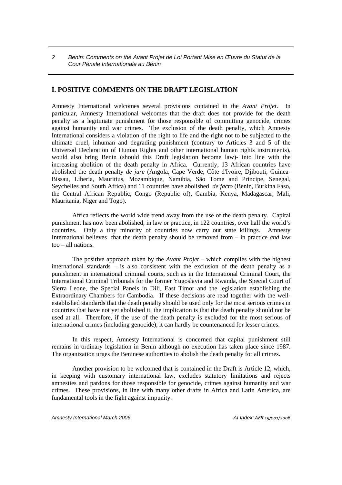#### **I. POSITIVE COMMENTS ON THE DRAFT LEGISLATION**

Amnesty International welcomes several provisions contained in the *Avant Projet*. In particular, Amnesty International welcomes that the draft does not provide for the death penalty as a legitimate punishment for those responsible of committing genocide, crimes against humanity and war crimes. The exclusion of the death penalty, which Amnesty International considers a violation of the right to life and the right not to be subjected to the ultimate cruel, inhuman and degrading punishment (contrary to Articles 3 and 5 of the Universal Declaration of Human Rights and other international human rights instruments), would also bring Benin (should this Draft legislation become law)- into line with the increasing abolition of the death penalty in Africa. Currently, 13 African countries have abolished the death penalty *de jure* (Angola, Cape Verde, Côte d'Ivoire, Djibouti, Guinea-Bissau, Liberia, Mauritius, Mozambique, Namibia, São Tome and Principe, Senegal, Seychelles and South Africa) and 11 countries have abolished *de facto* (Benin, Burkina Faso, the Central African Republic, Congo (Republic of), Gambia, Kenya, Madagascar, Mali, Mauritania, Niger and Togo).

Africa reflects the world wide trend away from the use of the death penalty. Capital punishment has now been abolished, in law or practice, in 122 countries, over half the world's countries. Only a tiny minority of countries now carry out state killings. Amnesty International believes that the death penalty should be removed from – in practice *and* law too – all nations.

The positive approach taken by the *Avant Projet* – which complies with the highest international standards – is also consistent with the exclusion of the death penalty as a punishment in international criminal courts, such as in the International Criminal Court, the International Criminal Tribunals for the former Yugoslavia and Rwanda, the Special Court of Sierra Leone, the Special Panels in Dili, East Timor and the legislation establishing the Extraordinary Chambers for Cambodia. If these decisions are read together with the wellestablished standards that the death penalty should be used only for the most serious crimes in countries that have not yet abolished it, the implication is that the death penalty should not be used at all. Therefore, if the use of the death penalty is excluded for the most serious of international crimes (including genocide), it can hardly be countenanced for lesser crimes.

In this respect, Amnesty International is concerned that capital punishment still remains in ordinary legislation in Benin although no execution has taken place since 1987. The organization urges the Beninese authorities to abolish the death penalty for all crimes.

Another provision to be welcomed that is contained in the Draft is Article 12, which, in keeping with customary international law, excludes statutory limitations and rejects amnesties and pardons for those responsible for genocide, crimes against humanity and war crimes. These provisions, in line with many other drafts in Africa and Latin America, are fundamental tools in the fight against impunity.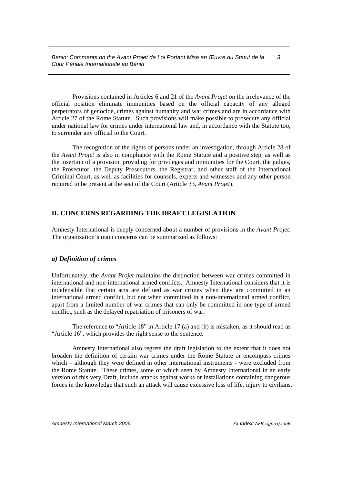Provisions contained in Articles 6 and 21 of the *Avant Projet* on the irrelevance of the official position eliminate immunities based on the official capacity of any alleged perpetrators of genocide, crimes against humanity and war crimes and are in accordance with Article 27 of the Rome Statute. Such provisions will make possible to prosecute any official under national law for crimes under international law and, in accordance with the Statute too, to surrender any official to the Court.

The recognition of the rights of persons under an investigation, through Article 28 of the *Avant Projet* is also in compliance with the Rome Statute and a positive step, as well as the insertion of a provision providing for privileges and immunities for the Court, the judges, the Prosecutor, the Deputy Prosecutors, the Registrar, and other staff of the International Criminal Court, as well as facilities for counsels, experts and witnesses and any other person required to be present at the seat of the Court (Article 33, *Avant Projet*).

#### **II. CONCERNS REGARDING THE DRAFT LEGISLATION**

Amnesty International is deeply concerned about a number of provisions in the *Avant Projet*. The organization's main concerns can be summarized as follows:

#### *a) Definition of crimes*

Unfortunately, the *Avant Projet* maintains the distinction between war crimes committed in international and non-international armed conflicts. Amnesty International considers that it is indefensible that certain acts are defined as war crimes when they are committed in an international armed conflict, but not when committed in a non-international armed conflict, apart from a limited number of war crimes that can only be committed in one type of armed conflict, such as the delayed repatriation of prisoners of war.

The reference to "Article 18" in Article 17 (a) and (h) is mistaken, as it should read as "Article 16", which provides the right sense to the sentence.

Amnesty International also regrets the draft legislation to the extent that it does not broaden the definition of certain war crimes under the Rome Statute or encompass crimes which – although they were defined in other international instruments - were excluded from the Rome Statute. These crimes, some of which seen by Amnesty International in an early version of this very Draft, include attacks against works or installations containing dangerous forces in the knowledge that such an attack will cause excessive loss of life, injury to civilians,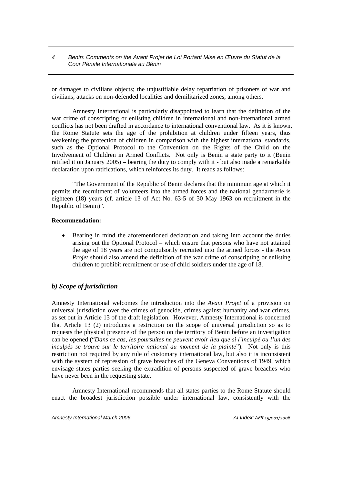or damages to civilians objects; the unjustifiable delay repatriation of prisoners of war and civilians; attacks on non-defended localities and demilitarized zones, among others.

Amnesty International is particularly disappointed to learn that the definition of the war crime of conscripting or enlisting children in international and non-international armed conflicts has not been drafted in accordance to international conventional law. As it is known, the Rome Statute sets the age of the prohibition at children under fifteen years, thus weakening the protection of children in comparison with the highest international standards, such as the Optional Protocol to the Convention on the Rights of the Child on the Involvement of Children in Armed Conflicts. Not only is Benin a state party to it (Benin ratified it on January 2005) – bearing the duty to comply with it - but also made a remarkable declaration upon ratifications, which reinforces its duty. It reads as follows:

"The Government of the Republic of Benin declares that the minimum age at which it permits the recruitment of volunteers into the armed forces and the national gendarmerie is eighteen (18) years (cf. article 13 of Act No. 63-5 of 30 May 1963 on recruitment in the Republic of Benin)".

#### **Recommendation:**

• Bearing in mind the aforementioned declaration and taking into account the duties arising out the Optional Protocol – which ensure that persons who have not attained the age of 18 years are not compulsorily recruited into the armed forces - the *Avant Projet* should also amend the definition of the war crime of conscripting or enlisting children to prohibit recruitment or use of child soldiers under the age of 18.

#### *b) Scope of jurisdiction*

Amnesty International welcomes the introduction into the *Avant Projet* of a provision on universal jurisdiction over the crimes of genocide, crimes against humanity and war crimes, as set out in Article 13 of the draft legislation. However, Amnesty International is concerned that Article 13 (2) introduces a restriction on the scope of universal jurisdiction so as to requests the physical presence of the person on the territory of Benin before an investigation can be opened ("*Dans ce cas, les poursuites ne peuvent avoir lieu que si l´inculpé ou l'un des inculpés se trouve sur le territoire national au moment de la plainte*"). Not only is this restriction not required by any rule of customary international law, but also it is inconsistent with the system of repression of grave breaches of the Geneva Conventions of 1949, which envisage states parties seeking the extradition of persons suspected of grave breaches who have never been in the requesting state.

Amnesty International recommends that all states parties to the Rome Statute should enact the broadest jurisdiction possible under international law, consistently with the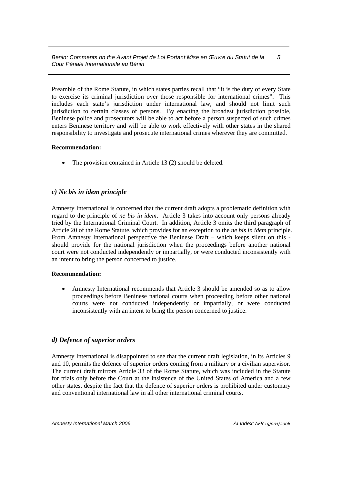Preamble of the Rome Statute, in which states parties recall that "it is the duty of every State to exercise its criminal jurisdiction over those responsible for international crimes". This includes each state's jurisdiction under international law, and should not limit such jurisdiction to certain classes of persons. By enacting the broadest jurisdiction possible, Beninese police and prosecutors will be able to act before a person suspected of such crimes enters Beninese territory and will be able to work effectively with other states in the shared responsibility to investigate and prosecute international crimes wherever they are committed.

#### **Recommendation:**

• The provision contained in Article 13 (2) should be deleted.

#### *c) Ne bis in idem principle*

Amnesty International is concerned that the current draft adopts a problematic definition with regard to the principle of *ne bis in idem*. Article 3 takes into account only persons already tried by the International Criminal Court. In addition, Article 3 omits the third paragraph of Article 20 of the Rome Statute, which provides for an exception to the *ne bis in idem* principle. From Amnesty International perspective the Beninese Draft – which keeps silent on this should provide for the national jurisdiction when the proceedings before another national court were not conducted independently or impartially, or were conducted inconsistently with an intent to bring the person concerned to justice.

#### **Recommendation:**

• Amnesty International recommends that Article 3 should be amended so as to allow proceedings before Beninese national courts when proceeding before other national courts were not conducted independently or impartially, or were conducted inconsistently with an intent to bring the person concerned to justice.

#### *d) Defence of superior orders*

Amnesty International is disappointed to see that the current draft legislation, in its Articles 9 and 10, permits the defence of superior orders coming from a military or a civilian supervisor. The current draft mirrors Article 33 of the Rome Statute, which was included in the Statute for trials only before the Court at the insistence of the United States of America and a few other states, despite the fact that the defence of superior orders is prohibited under customary and conventional international law in all other international criminal courts.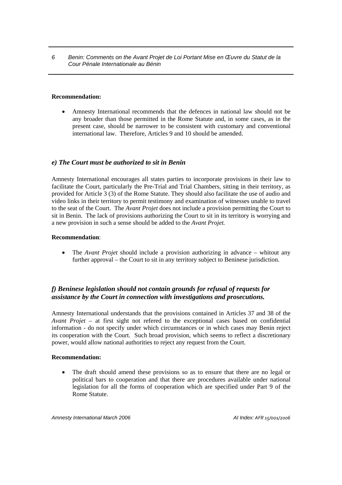#### **Recommendation:**

• Amnesty International recommends that the defences in national law should not be any broader than those permitted in the Rome Statute and, in some cases, as in the present case, should be narrower to be consistent with customary and conventional international law. Therefore, Articles 9 and 10 should be amended.

#### *e) The Court must be authorized to sit in Benin*

Amnesty International encourages all states parties to incorporate provisions in their law to facilitate the Court, particularly the Pre-Trial and Trial Chambers, sitting in their territory, as provided for Article 3 (3) of the Rome Statute. They should also facilitate the use of audio and video links in their territory to permit testimony and examination of witnesses unable to travel to the seat of the Court. The *Avant Projet* does not include a provision permitting the Court to sit in Benin. The lack of provisions authorizing the Court to sit in its territory is worrying and a new provision in such a sense should be added to the *Avant Projet.*

#### **Recommendation**:

• The *Avant Projet* should include a provision authorizing in advance – whitout any further approval – the Court to sit in any territory subject to Beninese jurisdiction.

#### *f) Beninese legislation should not contain grounds for refusal of requests for assistance by the Court in connection with investigations and prosecutions.*

Amnesty International understands that the provisions contained in Articles 37 and 38 of the *Avant Projet* – at first sight not refered to the exceptional cases based on confidential information - do not specify under which circumstances or in which cases may Benin reject its cooperation with the Court. Such broad provision, which seems to reflect a discretionary power, would allow national authorities to reject any request from the Court.

#### **Recommendation:**

The draft should amend these provisions so as to ensure that there are no legal or political bars to cooperation and that there are procedures available under national legislation for all the forms of cooperation which are specified under Part 9 of the Rome Statute.

*Amnesty International March 2006 AI Index: AFR 15/001/2006*